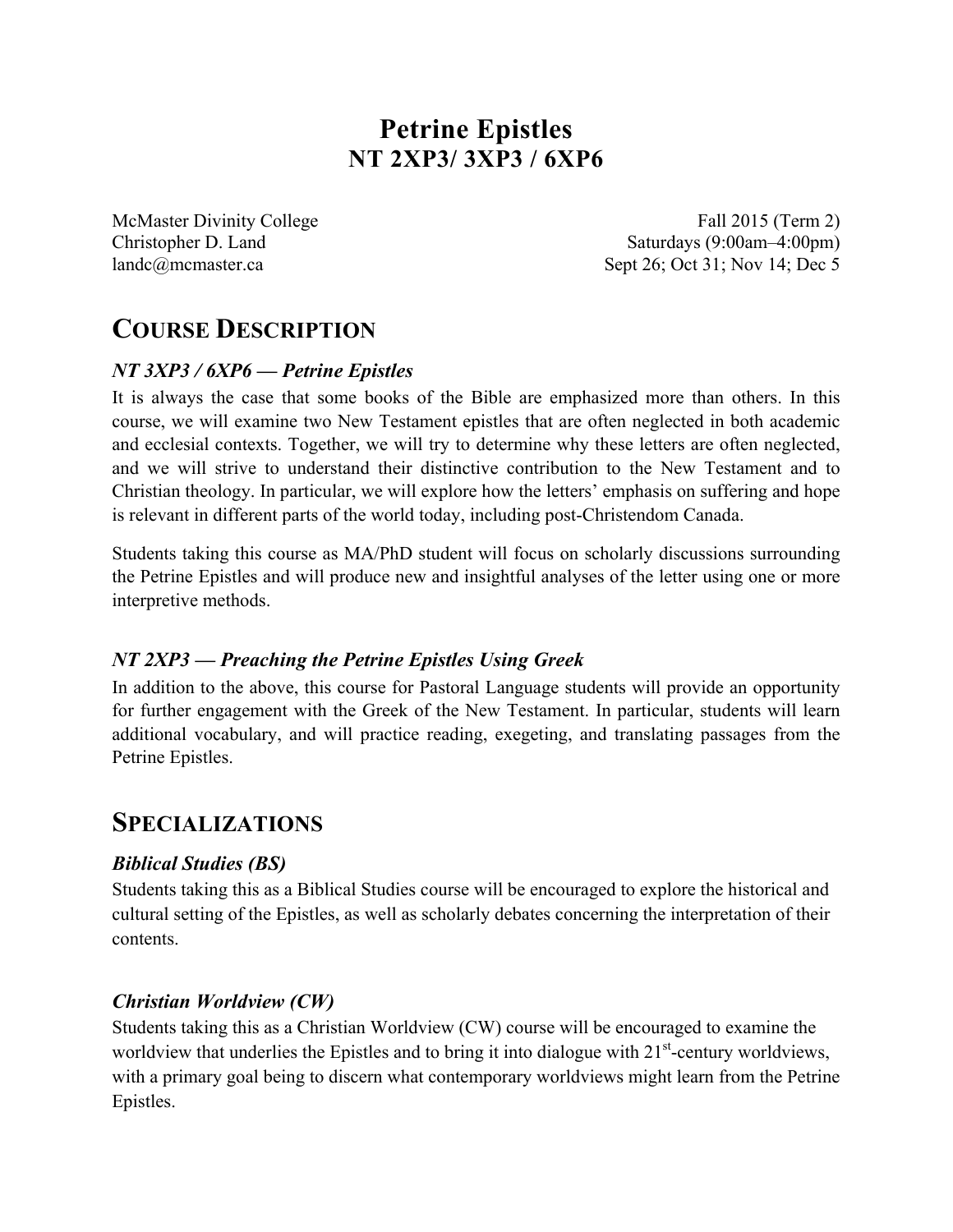# **Petrine Epistles NT 2XP3/ 3XP3 / 6XP6**

McMaster Divinity College Fall 2015 (Term 2) Christopher D. Land Saturdays (9:00am–4:00pm) landc@mcmaster.ca Sept 26; Oct 31; Nov 14; Dec 5

# **COURSE DESCRIPTION**

### *NT 3XP3 / 6XP6 — Petrine Epistles*

It is always the case that some books of the Bible are emphasized more than others. In this course, we will examine two New Testament epistles that are often neglected in both academic and ecclesial contexts. Together, we will try to determine why these letters are often neglected, and we will strive to understand their distinctive contribution to the New Testament and to Christian theology. In particular, we will explore how the letters' emphasis on suffering and hope is relevant in different parts of the world today, including post-Christendom Canada.

Students taking this course as MA/PhD student will focus on scholarly discussions surrounding the Petrine Epistles and will produce new and insightful analyses of the letter using one or more interpretive methods.

## *NT 2XP3 — Preaching the Petrine Epistles Using Greek*

In addition to the above, this course for Pastoral Language students will provide an opportunity for further engagement with the Greek of the New Testament. In particular, students will learn additional vocabulary, and will practice reading, exegeting, and translating passages from the Petrine Epistles.

## **SPECIALIZATIONS**

### *Biblical Studies (BS)*

Students taking this as a Biblical Studies course will be encouraged to explore the historical and cultural setting of the Epistles, as well as scholarly debates concerning the interpretation of their contents.

### *Christian Worldview (CW)*

Students taking this as a Christian Worldview (CW) course will be encouraged to examine the worldview that underlies the Epistles and to bring it into dialogue with 21<sup>st</sup>-century worldviews, with a primary goal being to discern what contemporary worldviews might learn from the Petrine Epistles.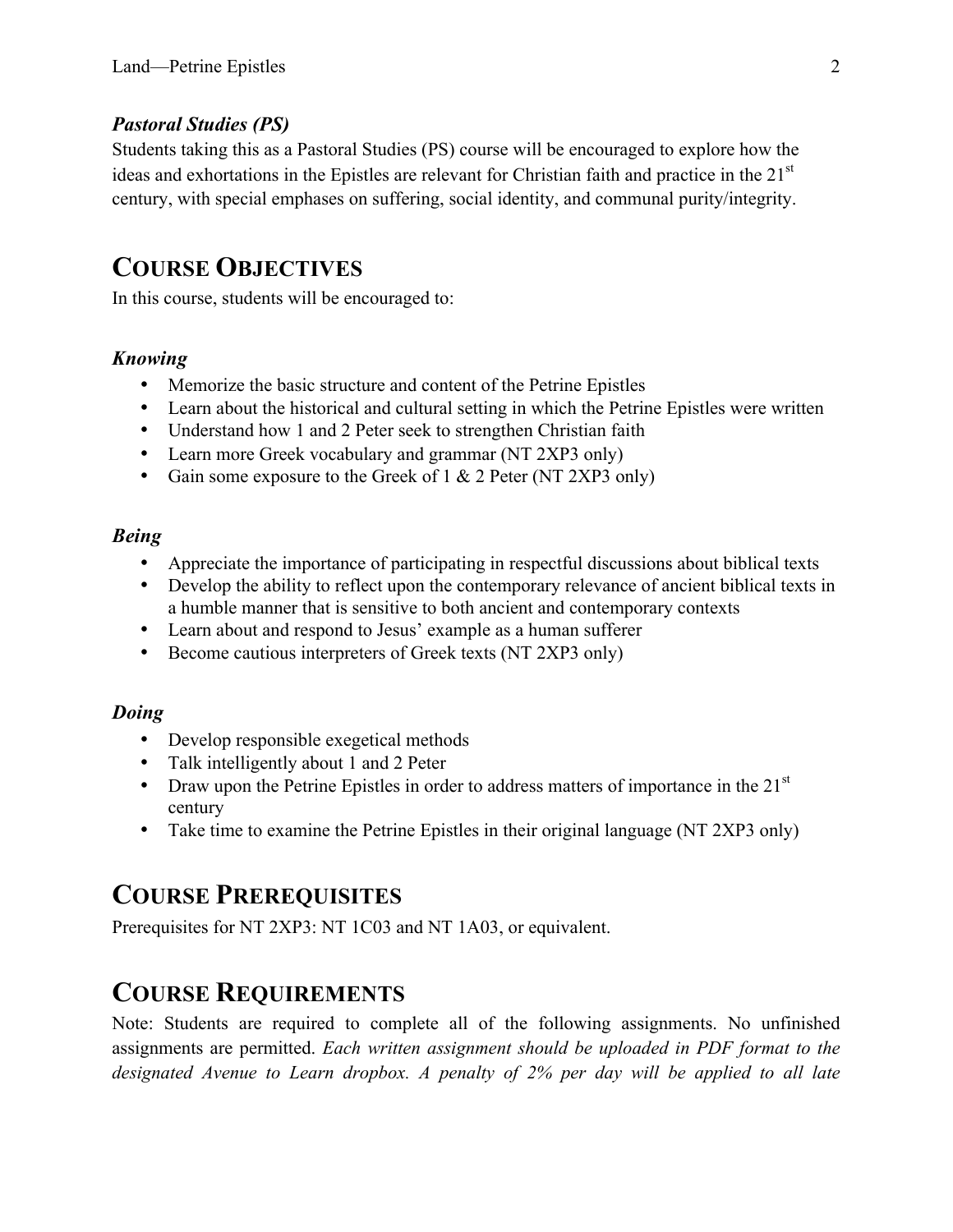### *Pastoral Studies (PS)*

Students taking this as a Pastoral Studies (PS) course will be encouraged to explore how the ideas and exhortations in the Epistles are relevant for Christian faith and practice in the 21<sup>st</sup> century, with special emphases on suffering, social identity, and communal purity/integrity.

## **COURSE OBJECTIVES**

In this course, students will be encouraged to:

### *Knowing*

- Memorize the basic structure and content of the Petrine Epistles
- Learn about the historical and cultural setting in which the Petrine Epistles were written
- Understand how 1 and 2 Peter seek to strengthen Christian faith
- Learn more Greek vocabulary and grammar (NT 2XP3 only)
- Gain some exposure to the Greek of 1 & 2 Peter (NT 2XP3 only)

### *Being*

- Appreciate the importance of participating in respectful discussions about biblical texts
- Develop the ability to reflect upon the contemporary relevance of ancient biblical texts in a humble manner that is sensitive to both ancient and contemporary contexts
- Learn about and respond to Jesus' example as a human sufferer
- Become cautious interpreters of Greek texts (NT 2XP3 only)

### *Doing*

- Develop responsible exegetical methods
- Talk intelligently about 1 and 2 Peter
- Draw upon the Petrine Epistles in order to address matters of importance in the  $21<sup>st</sup>$ century
- Take time to examine the Petrine Epistles in their original language (NT 2XP3 only)

# **COURSE PREREQUISITES**

Prerequisites for NT 2XP3: NT 1C03 and NT 1A03, or equivalent.

## **COURSE REQUIREMENTS**

Note: Students are required to complete all of the following assignments. No unfinished assignments are permitted. *Each written assignment should be uploaded in PDF format to the designated Avenue to Learn dropbox. A penalty of 2% per day will be applied to all late*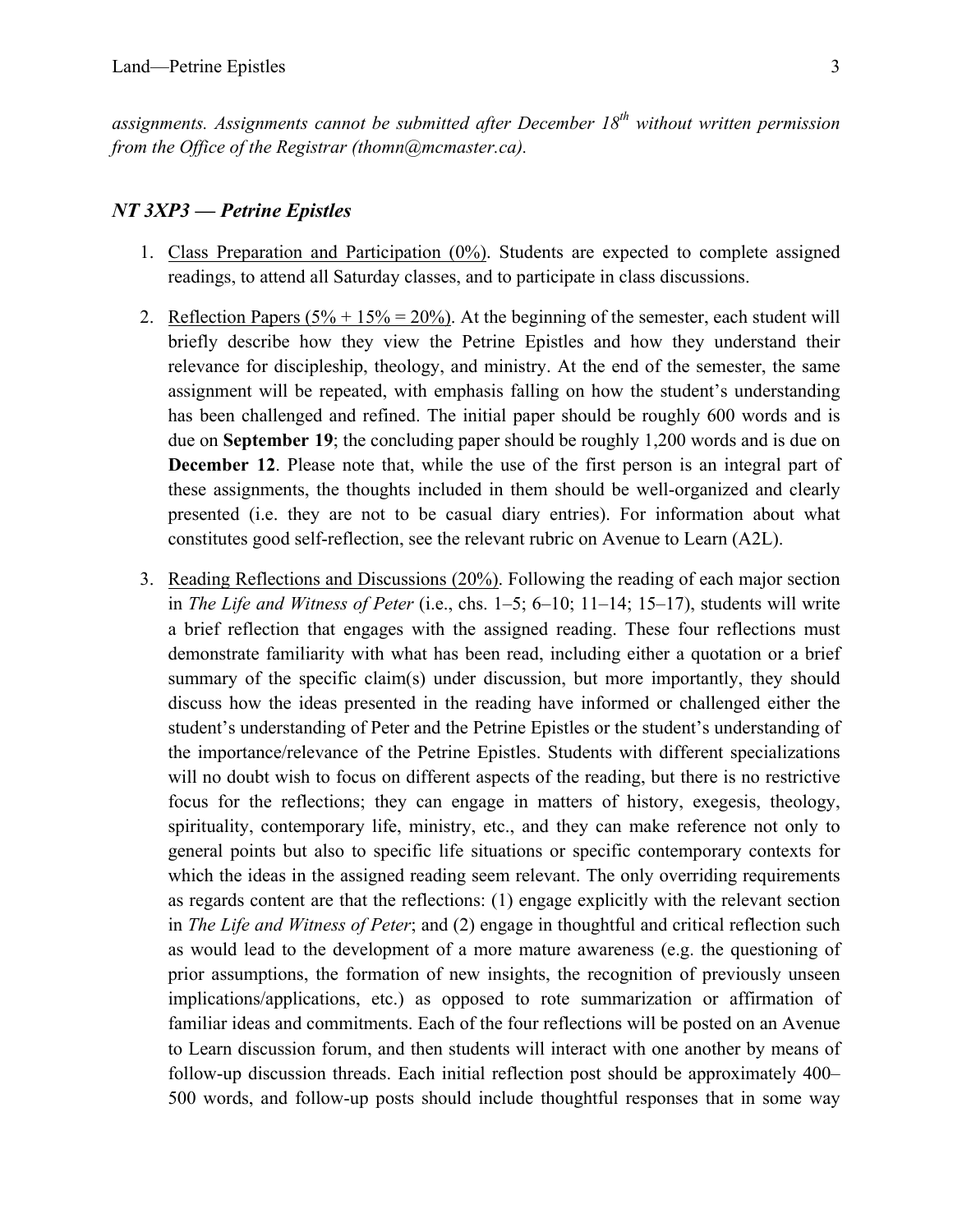*assignments. Assignments cannot be submitted after December 18th without written permission from the Office of the Registrar (thomn@mcmaster.ca).*

#### *NT 3XP3 — Petrine Epistles*

- 1. Class Preparation and Participation (0%). Students are expected to complete assigned readings, to attend all Saturday classes, and to participate in class discussions.
- 2. Reflection Papers  $(5\% + 15\% = 20\%)$ . At the beginning of the semester, each student will briefly describe how they view the Petrine Epistles and how they understand their relevance for discipleship, theology, and ministry. At the end of the semester, the same assignment will be repeated, with emphasis falling on how the student's understanding has been challenged and refined. The initial paper should be roughly 600 words and is due on **September 19**; the concluding paper should be roughly 1,200 words and is due on **December 12**. Please note that, while the use of the first person is an integral part of these assignments, the thoughts included in them should be well-organized and clearly presented (i.e. they are not to be casual diary entries). For information about what constitutes good self-reflection, see the relevant rubric on Avenue to Learn (A2L).
- 3. Reading Reflections and Discussions (20%). Following the reading of each major section in *The Life and Witness of Peter* (i.e., chs. 1–5; 6–10; 11–14; 15–17), students will write a brief reflection that engages with the assigned reading. These four reflections must demonstrate familiarity with what has been read, including either a quotation or a brief summary of the specific claim(s) under discussion, but more importantly, they should discuss how the ideas presented in the reading have informed or challenged either the student's understanding of Peter and the Petrine Epistles or the student's understanding of the importance/relevance of the Petrine Epistles. Students with different specializations will no doubt wish to focus on different aspects of the reading, but there is no restrictive focus for the reflections; they can engage in matters of history, exegesis, theology, spirituality, contemporary life, ministry, etc., and they can make reference not only to general points but also to specific life situations or specific contemporary contexts for which the ideas in the assigned reading seem relevant. The only overriding requirements as regards content are that the reflections: (1) engage explicitly with the relevant section in *The Life and Witness of Peter*; and (2) engage in thoughtful and critical reflection such as would lead to the development of a more mature awareness (e.g. the questioning of prior assumptions, the formation of new insights, the recognition of previously unseen implications/applications, etc.) as opposed to rote summarization or affirmation of familiar ideas and commitments. Each of the four reflections will be posted on an Avenue to Learn discussion forum, and then students will interact with one another by means of follow-up discussion threads. Each initial reflection post should be approximately 400– 500 words, and follow-up posts should include thoughtful responses that in some way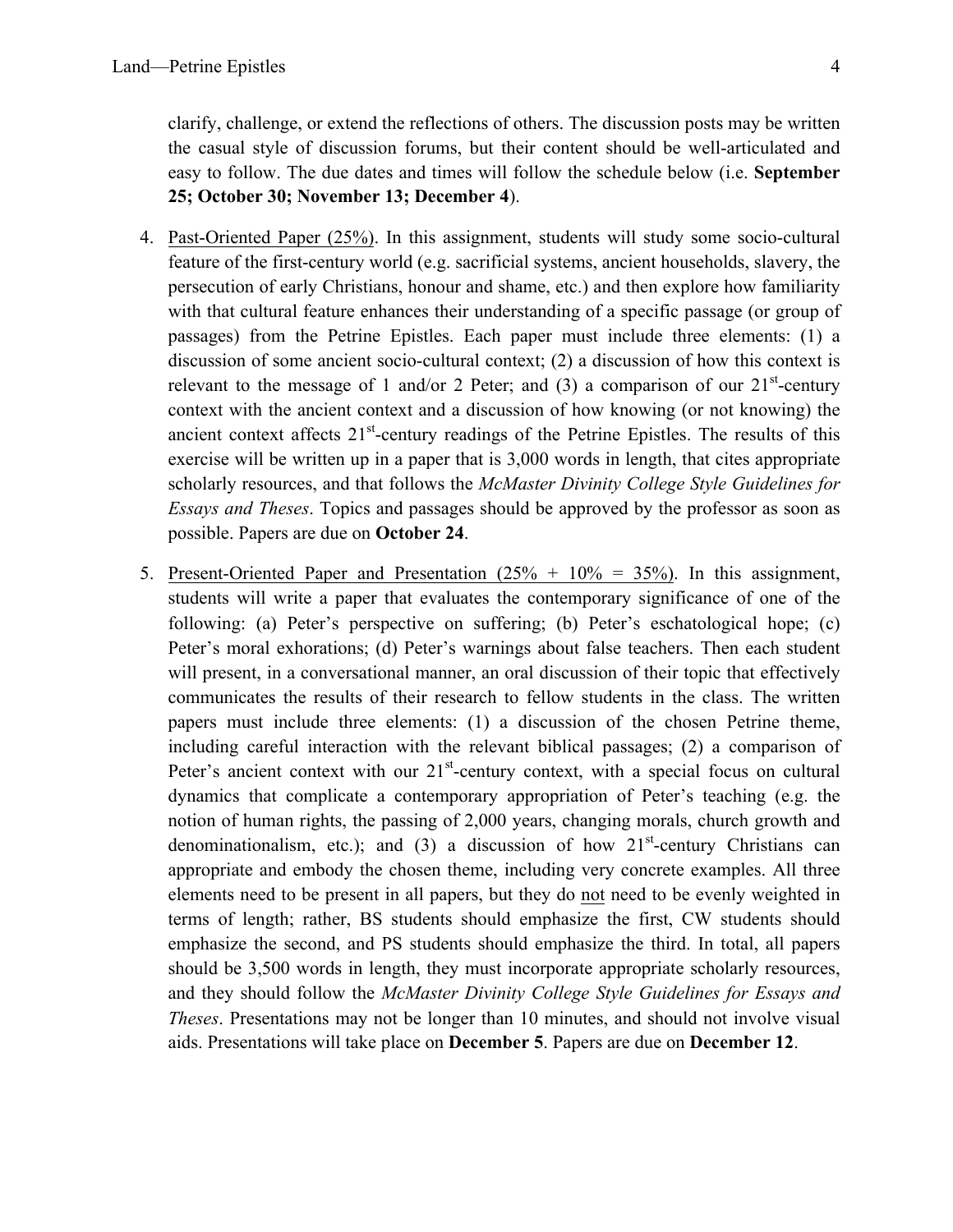clarify, challenge, or extend the reflections of others. The discussion posts may be written the casual style of discussion forums, but their content should be well-articulated and easy to follow. The due dates and times will follow the schedule below (i.e. **September 25; October 30; November 13; December 4**).

- 4. Past-Oriented Paper (25%). In this assignment, students will study some socio-cultural feature of the first-century world (e.g. sacrificial systems, ancient households, slavery, the persecution of early Christians, honour and shame, etc.) and then explore how familiarity with that cultural feature enhances their understanding of a specific passage (or group of passages) from the Petrine Epistles. Each paper must include three elements: (1) a discussion of some ancient socio-cultural context; (2) a discussion of how this context is relevant to the message of 1 and/or 2 Peter; and (3) a comparison of our  $21<sup>st</sup>$ -century context with the ancient context and a discussion of how knowing (or not knowing) the ancient context affects  $21<sup>st</sup>$ -century readings of the Petrine Epistles. The results of this exercise will be written up in a paper that is 3,000 words in length, that cites appropriate scholarly resources, and that follows the *McMaster Divinity College Style Guidelines for Essays and Theses*. Topics and passages should be approved by the professor as soon as possible. Papers are due on **October 24**.
- 5. Present-Oriented Paper and Presentation  $(25\% + 10\% = 35\%)$ . In this assignment, students will write a paper that evaluates the contemporary significance of one of the following: (a) Peter's perspective on suffering; (b) Peter's eschatological hope; (c) Peter's moral exhorations; (d) Peter's warnings about false teachers. Then each student will present, in a conversational manner, an oral discussion of their topic that effectively communicates the results of their research to fellow students in the class. The written papers must include three elements: (1) a discussion of the chosen Petrine theme, including careful interaction with the relevant biblical passages; (2) a comparison of Peter's ancient context with our  $21<sup>st</sup>$ -century context, with a special focus on cultural dynamics that complicate a contemporary appropriation of Peter's teaching (e.g. the notion of human rights, the passing of 2,000 years, changing morals, church growth and denominationalism, etc.); and (3) a discussion of how  $21<sup>st</sup>$ -century Christians can appropriate and embody the chosen theme, including very concrete examples. All three elements need to be present in all papers, but they do not need to be evenly weighted in terms of length; rather, BS students should emphasize the first, CW students should emphasize the second, and PS students should emphasize the third. In total, all papers should be 3,500 words in length, they must incorporate appropriate scholarly resources, and they should follow the *McMaster Divinity College Style Guidelines for Essays and Theses*. Presentations may not be longer than 10 minutes, and should not involve visual aids. Presentations will take place on **December 5**. Papers are due on **December 12**.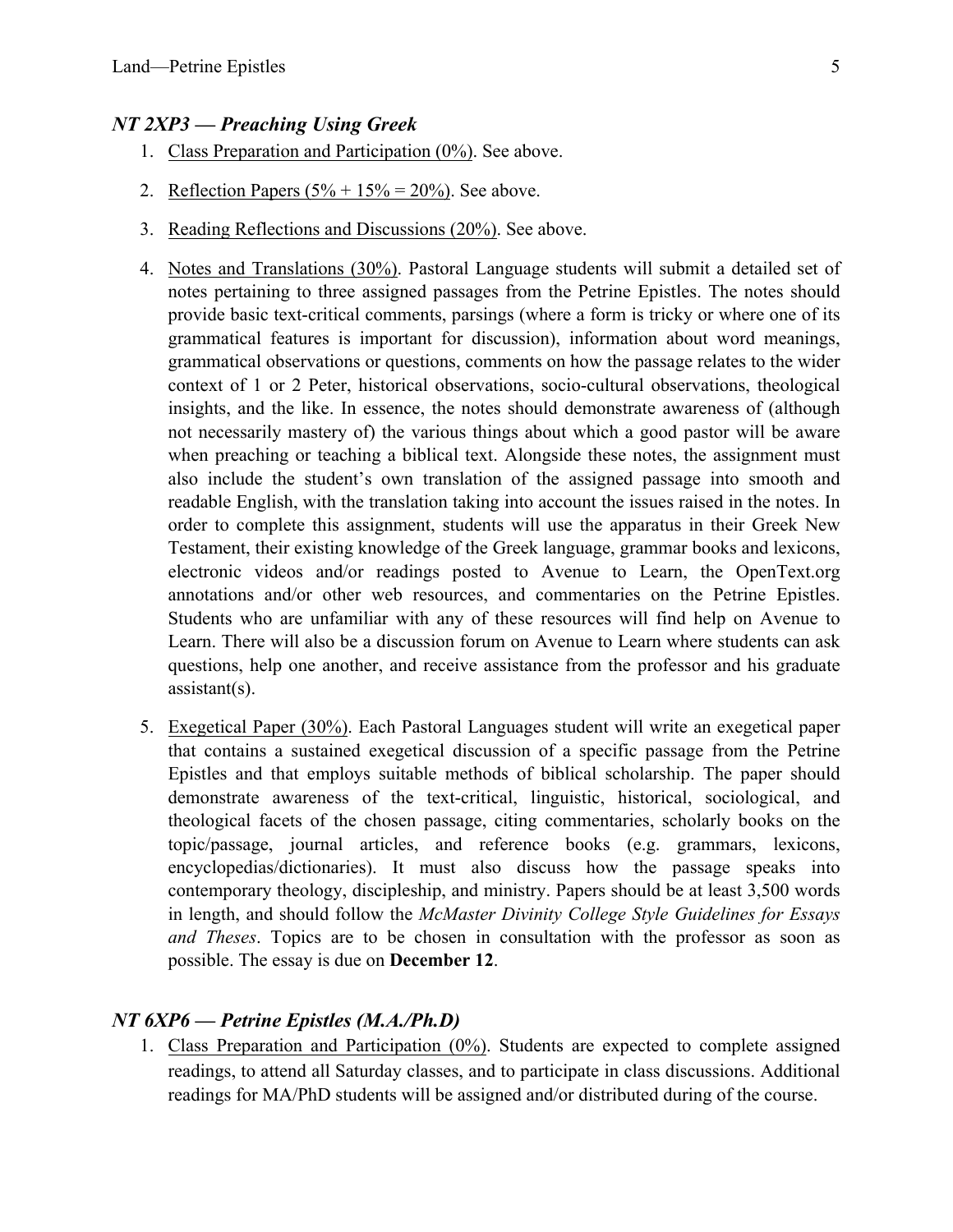#### *NT 2XP3 — Preaching Using Greek*

- 1. Class Preparation and Participation (0%). See above.
- 2. Reflection Papers  $(5\% + 15\% = 20\%)$ . See above.
- 3. Reading Reflections and Discussions (20%). See above.
- 4. Notes and Translations (30%). Pastoral Language students will submit a detailed set of notes pertaining to three assigned passages from the Petrine Epistles. The notes should provide basic text-critical comments, parsings (where a form is tricky or where one of its grammatical features is important for discussion), information about word meanings, grammatical observations or questions, comments on how the passage relates to the wider context of 1 or 2 Peter, historical observations, socio-cultural observations, theological insights, and the like. In essence, the notes should demonstrate awareness of (although not necessarily mastery of) the various things about which a good pastor will be aware when preaching or teaching a biblical text. Alongside these notes, the assignment must also include the student's own translation of the assigned passage into smooth and readable English, with the translation taking into account the issues raised in the notes. In order to complete this assignment, students will use the apparatus in their Greek New Testament, their existing knowledge of the Greek language, grammar books and lexicons, electronic videos and/or readings posted to Avenue to Learn, the OpenText.org annotations and/or other web resources, and commentaries on the Petrine Epistles. Students who are unfamiliar with any of these resources will find help on Avenue to Learn. There will also be a discussion forum on Avenue to Learn where students can ask questions, help one another, and receive assistance from the professor and his graduate assistant(s).
- 5. Exegetical Paper (30%). Each Pastoral Languages student will write an exegetical paper that contains a sustained exegetical discussion of a specific passage from the Petrine Epistles and that employs suitable methods of biblical scholarship. The paper should demonstrate awareness of the text-critical, linguistic, historical, sociological, and theological facets of the chosen passage, citing commentaries, scholarly books on the topic/passage, journal articles, and reference books (e.g. grammars, lexicons, encyclopedias/dictionaries). It must also discuss how the passage speaks into contemporary theology, discipleship, and ministry. Papers should be at least 3,500 words in length, and should follow the *McMaster Divinity College Style Guidelines for Essays and Theses*. Topics are to be chosen in consultation with the professor as soon as possible. The essay is due on **December 12**.

### *NT 6XP6 — Petrine Epistles (M.A./Ph.D)*

1. Class Preparation and Participation (0%). Students are expected to complete assigned readings, to attend all Saturday classes, and to participate in class discussions. Additional readings for MA/PhD students will be assigned and/or distributed during of the course.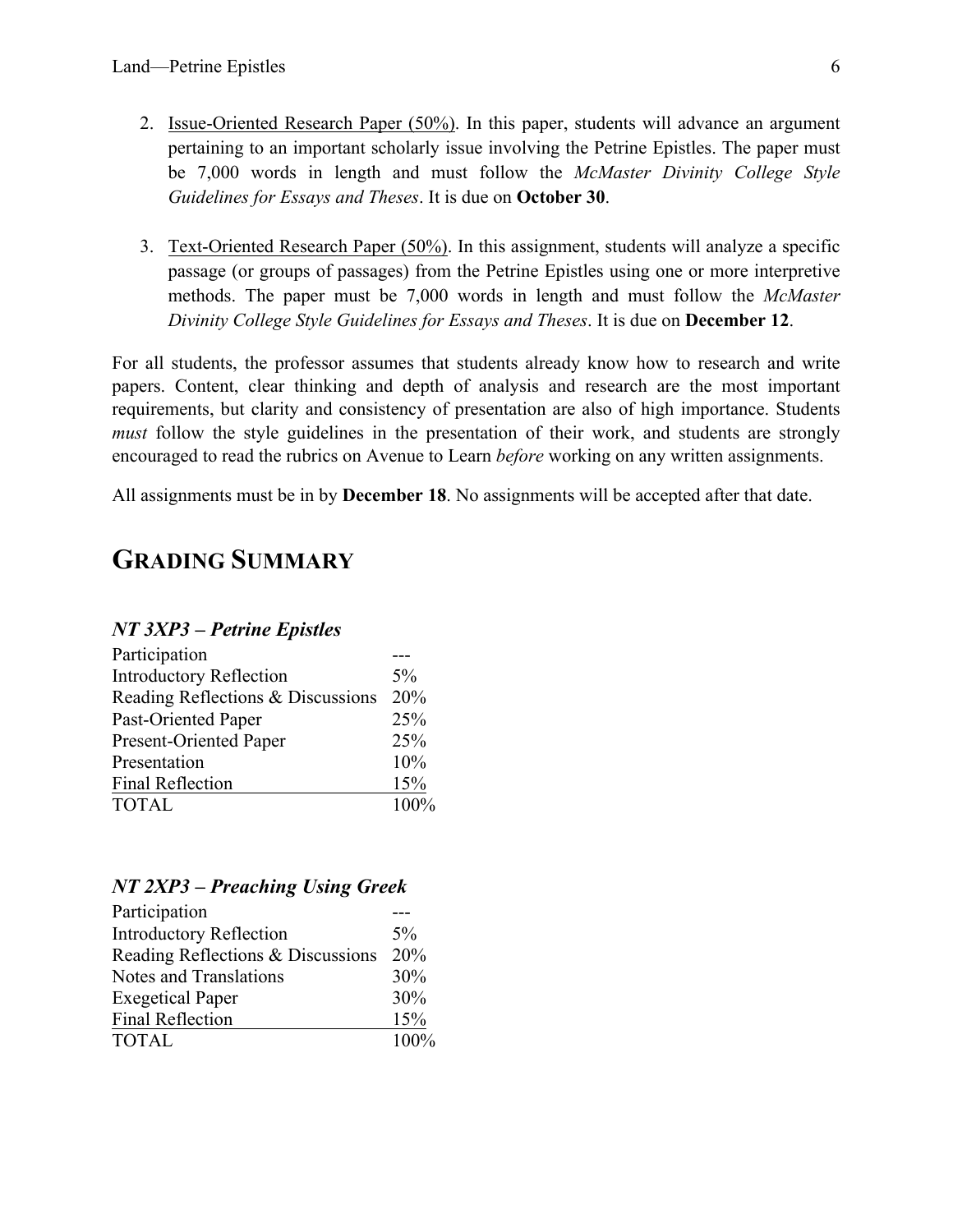- 2. Issue-Oriented Research Paper (50%). In this paper, students will advance an argument pertaining to an important scholarly issue involving the Petrine Epistles. The paper must be 7,000 words in length and must follow the *McMaster Divinity College Style Guidelines for Essays and Theses*. It is due on **October 30**.
- 3. Text-Oriented Research Paper (50%). In this assignment, students will analyze a specific passage (or groups of passages) from the Petrine Epistles using one or more interpretive methods. The paper must be 7,000 words in length and must follow the *McMaster Divinity College Style Guidelines for Essays and Theses*. It is due on **December 12**.

For all students, the professor assumes that students already know how to research and write papers. Content, clear thinking and depth of analysis and research are the most important requirements, but clarity and consistency of presentation are also of high importance. Students *must* follow the style guidelines in the presentation of their work, and students are strongly encouraged to read the rubrics on Avenue to Learn *before* working on any written assignments.

All assignments must be in by **December 18**. No assignments will be accepted after that date.

## **GRADING SUMMARY**

### *NT 3XP3 – Petrine Epistles*

| Participation                     |       |
|-----------------------------------|-------|
| <b>Introductory Reflection</b>    | $5\%$ |
| Reading Reflections & Discussions | 20%   |
| Past-Oriented Paper               | 25%   |
| Present-Oriented Paper            | 25%   |
| Presentation                      | 10%   |
| <b>Final Reflection</b>           | 15%   |
| <b>TOTAL</b>                      | 100%  |

### *NT 2XP3 – Preaching Using Greek*

| Participation                     |       |
|-----------------------------------|-------|
| <b>Introductory Reflection</b>    | $5\%$ |
| Reading Reflections & Discussions | 20%   |
| Notes and Translations            | 30%   |
| <b>Exegetical Paper</b>           | 30%   |
| <b>Final Reflection</b>           | 15%   |
| <b>TOTAL</b>                      | 100%  |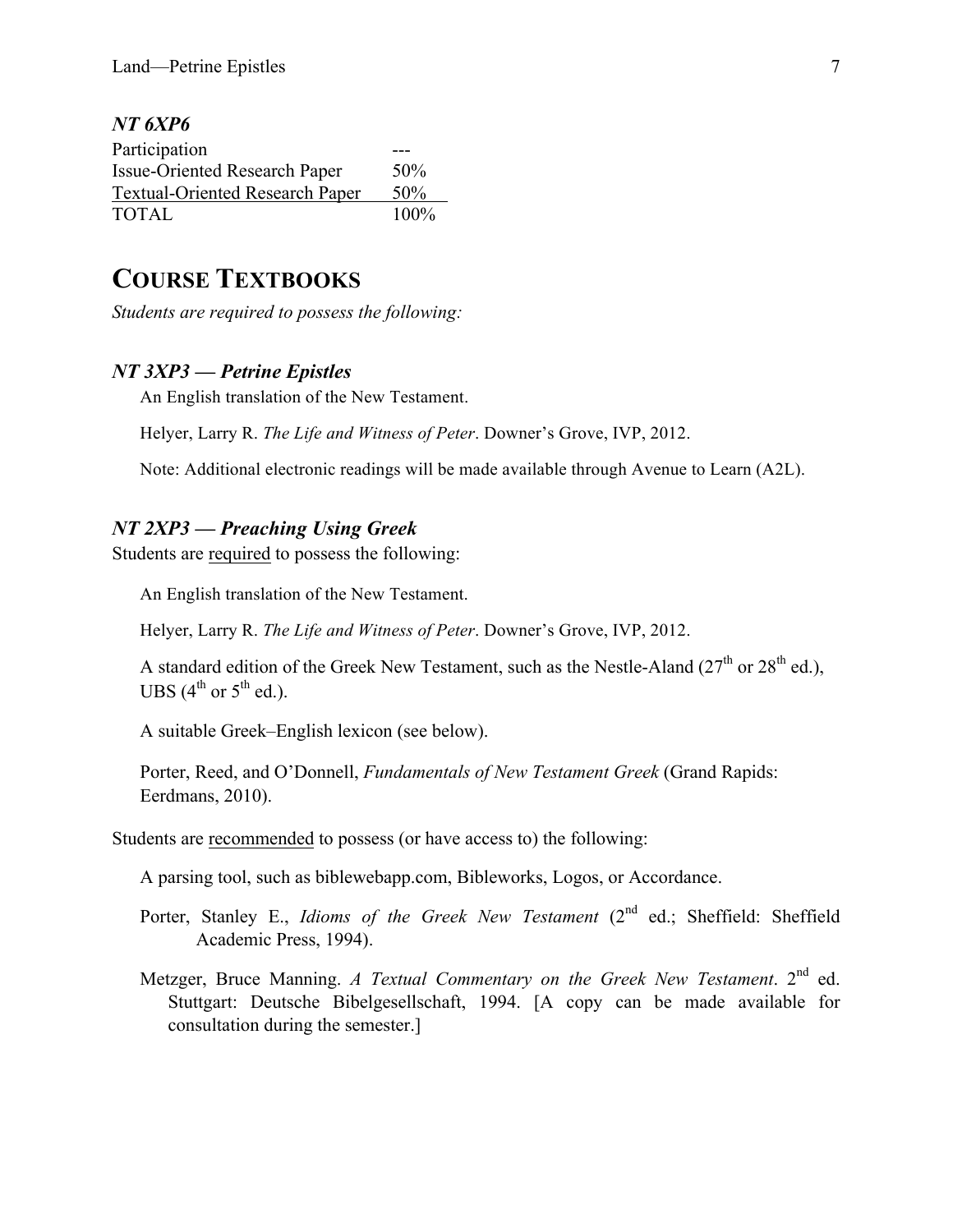#### *NT 6XP6*

| Participation                          |      |
|----------------------------------------|------|
| Issue-Oriented Research Paper          | 50%  |
| <b>Textual-Oriented Research Paper</b> | 50%  |
| <b>TOTAL</b>                           | 100% |

## **COURSE TEXTBOOKS**

*Students are required to possess the following:*

#### *NT 3XP3 — Petrine Epistles*

An English translation of the New Testament.

Helyer, Larry R. *The Life and Witness of Peter*. Downer's Grove, IVP, 2012.

Note: Additional electronic readings will be made available through Avenue to Learn (A2L).

#### *NT 2XP3 — Preaching Using Greek*

Students are required to possess the following:

An English translation of the New Testament.

Helyer, Larry R. *The Life and Witness of Peter*. Downer's Grove, IVP, 2012.

A standard edition of the Greek New Testament, such as the Nestle-Aland ( $27<sup>th</sup>$  or  $28<sup>th</sup>$  ed.), UBS  $(4^{th}$  or  $5^{th}$  ed.).

A suitable Greek–English lexicon (see below).

Porter, Reed, and O'Donnell, *Fundamentals of New Testament Greek* (Grand Rapids: Eerdmans, 2010).

Students are recommended to possess (or have access to) the following:

A parsing tool, such as biblewebapp.com, Bibleworks, Logos, or Accordance.

- Porter, Stanley E., *Idioms of the Greek New Testament* (2<sup>nd</sup> ed.; Sheffield: Sheffield Academic Press, 1994).
- Metzger, Bruce Manning. *A Textual Commentary on the Greek New Testament*. 2<sup>nd</sup> ed. Stuttgart: Deutsche Bibelgesellschaft, 1994. [A copy can be made available for consultation during the semester.]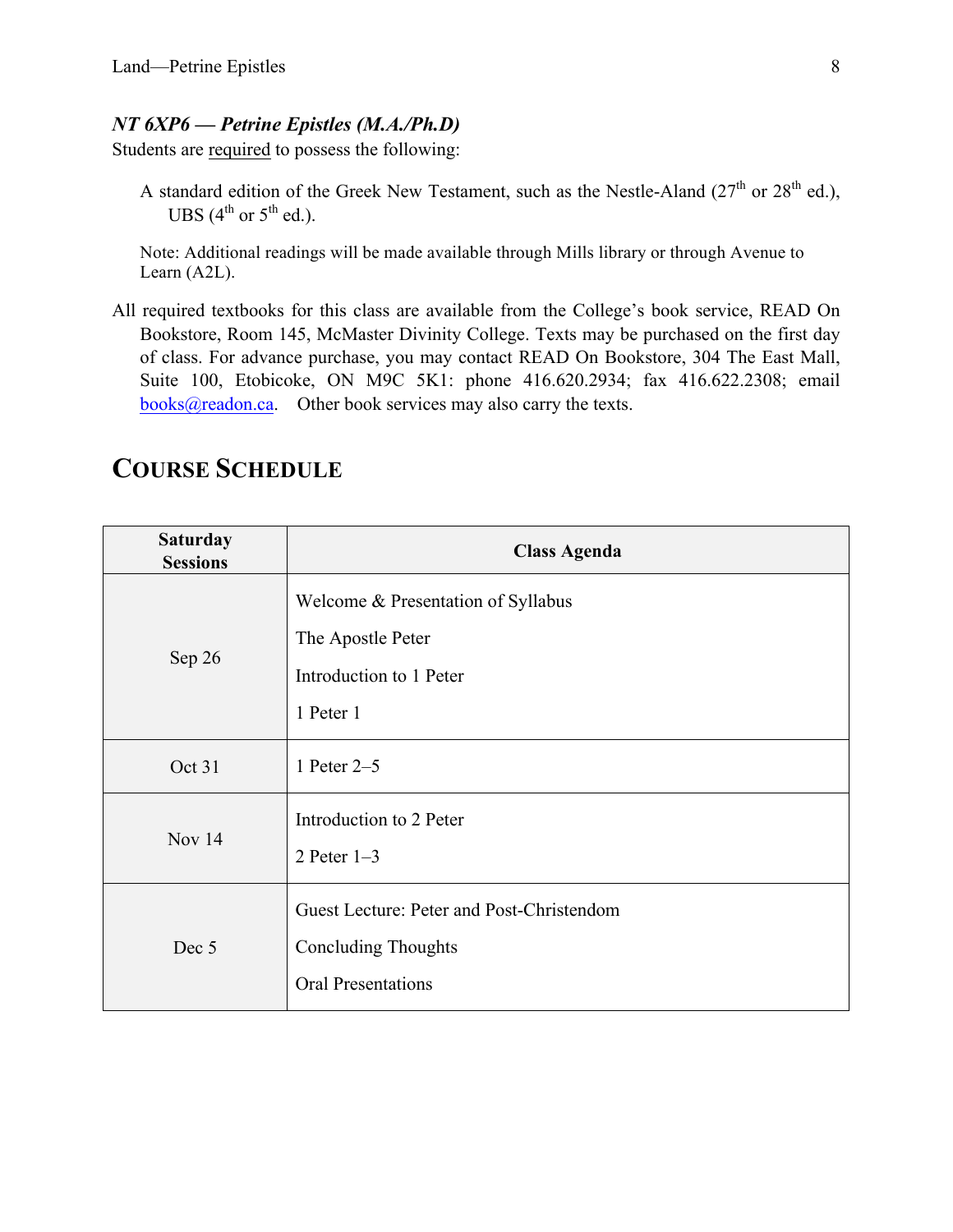#### *NT 6XP6 — Petrine Epistles (M.A./Ph.D)*

Students are required to possess the following:

A standard edition of the Greek New Testament, such as the Nestle-Aland ( $27<sup>th</sup>$  or  $28<sup>th</sup>$  ed.), UBS  $(4^{th}$  or  $5^{th}$  ed.).

Note: Additional readings will be made available through Mills library or through Avenue to Learn (A2L).

All required textbooks for this class are available from the College's book service, READ On Bookstore, Room 145, McMaster Divinity College. Texts may be purchased on the first day of class. For advance purchase, you may contact READ On Bookstore, 304 The East Mall, Suite 100, Etobicoke, ON M9C 5K1: phone 416.620.2934; fax 416.622.2308; email books@readon.ca. Other book services may also carry the texts.

| <b>Saturday</b><br><b>Sessions</b> | <b>Class Agenda</b>                                                                                  |
|------------------------------------|------------------------------------------------------------------------------------------------------|
| Sep 26                             | Welcome & Presentation of Syllabus<br>The Apostle Peter<br>Introduction to 1 Peter<br>1 Peter 1      |
| Oct 31                             | 1 Peter 2-5                                                                                          |
| Nov $14$                           | Introduction to 2 Peter<br>2 Peter $1-3$                                                             |
| Dec 5                              | Guest Lecture: Peter and Post-Christendom<br><b>Concluding Thoughts</b><br><b>Oral Presentations</b> |

# **COURSE SCHEDULE**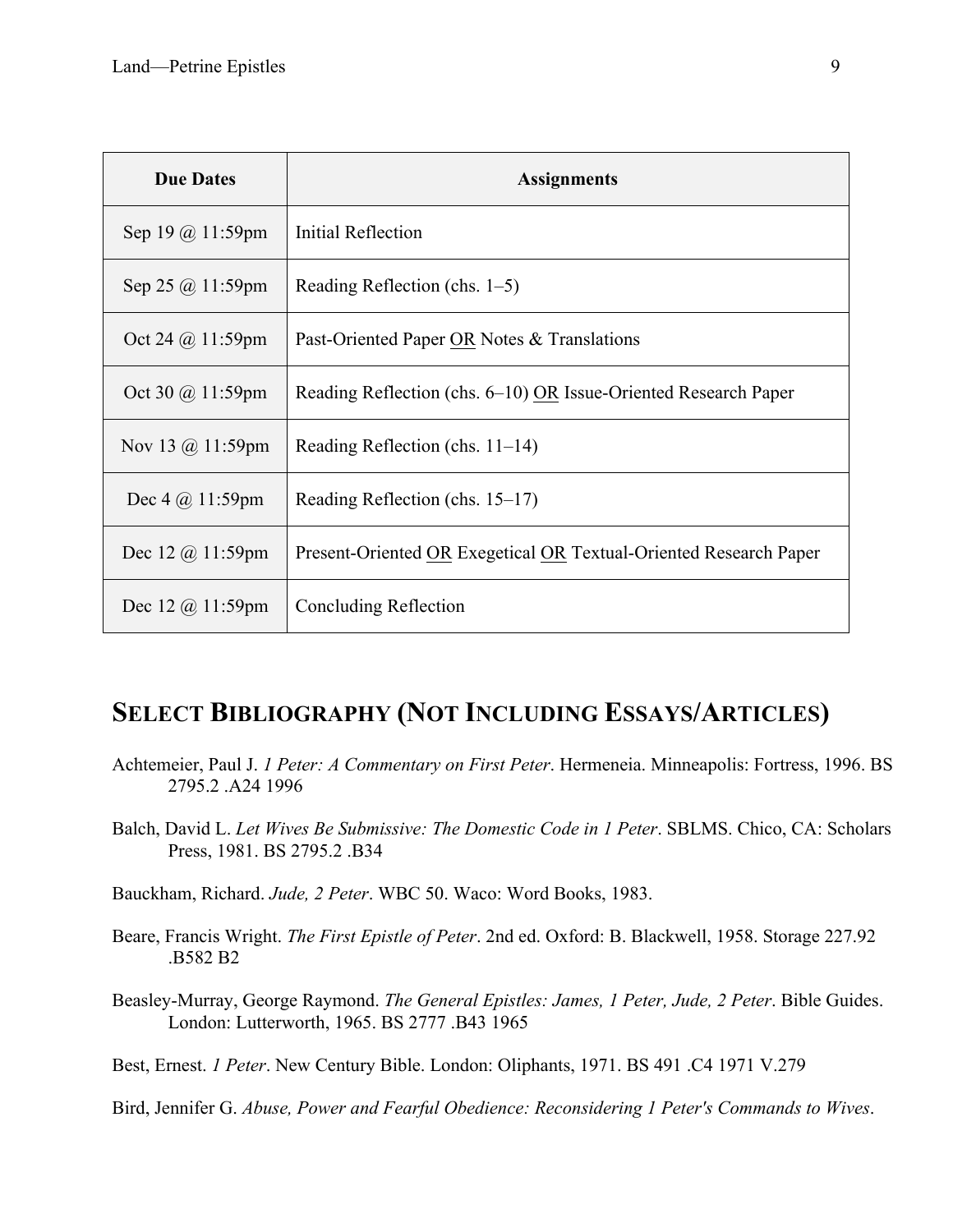| <b>Due Dates</b>                   | <b>Assignments</b>                                                |
|------------------------------------|-------------------------------------------------------------------|
| Sep 19 $\omega$ 11:59pm            | Initial Reflection                                                |
| Sep 25 $\omega$ 11:59pm            | Reading Reflection (chs. $1-5$ )                                  |
| Oct 24 $\omega$ 11:59pm            | Past-Oriented Paper OR Notes & Translations                       |
| Oct 30 @ 11:59pm                   | Reading Reflection (chs. 6–10) OR Issue-Oriented Research Paper   |
| Nov 13 $\omega$ 11:59pm            | Reading Reflection (chs. $11-14$ )                                |
| Dec $4 \ (\omega 11:59 \text{pm})$ | Reading Reflection (chs. 15–17)                                   |
| Dec 12 $\omega$ 11:59pm            | Present-Oriented OR Exegetical OR Textual-Oriented Research Paper |
| Dec 12 $\omega$ 11:59pm            | <b>Concluding Reflection</b>                                      |

## **SELECT BIBLIOGRAPHY (NOT INCLUDING ESSAYS/ARTICLES)**

- Achtemeier, Paul J. *1 Peter: A Commentary on First Peter*. Hermeneia. Minneapolis: Fortress, 1996. BS 2795.2 .A24 1996
- Balch, David L. *Let Wives Be Submissive: The Domestic Code in 1 Peter*. SBLMS. Chico, CA: Scholars Press, 1981. BS 2795.2 .B34
- Bauckham, Richard. *Jude, 2 Peter*. WBC 50. Waco: Word Books, 1983.
- Beare, Francis Wright. *The First Epistle of Peter*. 2nd ed. Oxford: B. Blackwell, 1958. Storage 227.92 .B582 B2
- Beasley-Murray, George Raymond. *The General Epistles: James, 1 Peter, Jude, 2 Peter*. Bible Guides. London: Lutterworth, 1965. BS 2777 .B43 1965

Best, Ernest. *1 Peter*. New Century Bible. London: Oliphants, 1971. BS 491 .C4 1971 V.279

Bird, Jennifer G. *Abuse, Power and Fearful Obedience: Reconsidering 1 Peter's Commands to Wives*.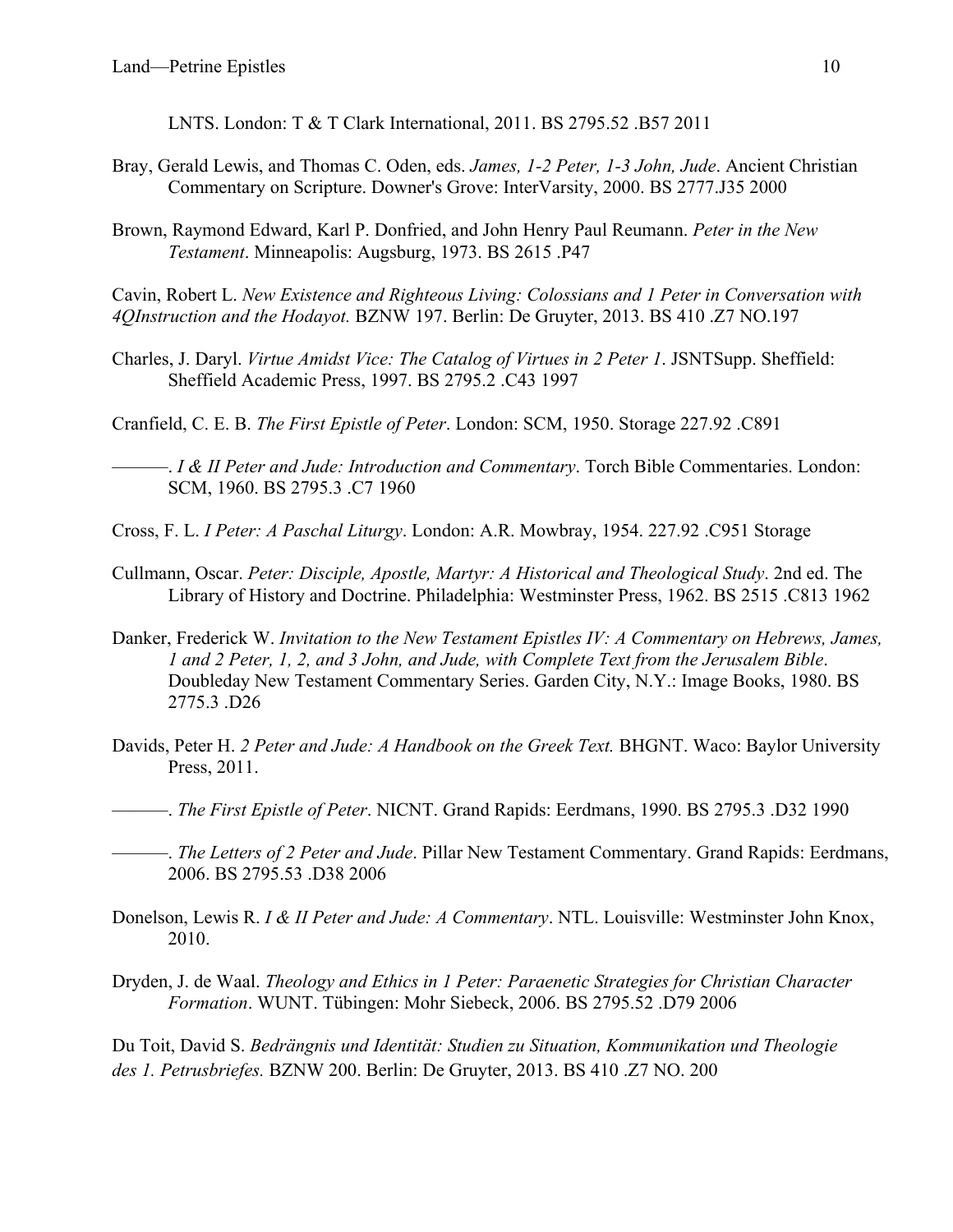LNTS. London: T & T Clark International, 2011. BS 2795.52 .B57 2011

- Bray, Gerald Lewis, and Thomas C. Oden, eds. *James, 1-2 Peter, 1-3 John, Jude*. Ancient Christian Commentary on Scripture. Downer's Grove: InterVarsity, 2000. BS 2777.J35 2000
- Brown, Raymond Edward, Karl P. Donfried, and John Henry Paul Reumann. *Peter in the New Testament*. Minneapolis: Augsburg, 1973. BS 2615 .P47

Cavin, Robert L. *New Existence and Righteous Living: Colossians and 1 Peter in Conversation with 4QInstruction and the Hodayot.* BZNW 197. Berlin: De Gruyter, 2013. BS 410 .Z7 NO.197

Charles, J. Daryl. *Virtue Amidst Vice: The Catalog of Virtues in 2 Peter 1*. JSNTSupp. Sheffield: Sheffield Academic Press, 1997. BS 2795.2 .C43 1997

Cranfield, C. E. B. *The First Epistle of Peter*. London: SCM, 1950. Storage 227.92 .C891

———. *I & II Peter and Jude: Introduction and Commentary*. Torch Bible Commentaries. London: SCM, 1960. BS 2795.3 .C7 1960

- Cross, F. L. *I Peter: A Paschal Liturgy*. London: A.R. Mowbray, 1954. 227.92 .C951 Storage
- Cullmann, Oscar. *Peter: Disciple, Apostle, Martyr: A Historical and Theological Study*. 2nd ed. The Library of History and Doctrine. Philadelphia: Westminster Press, 1962. BS 2515 .C813 1962
- Danker, Frederick W. *Invitation to the New Testament Epistles IV: A Commentary on Hebrews, James, 1 and 2 Peter, 1, 2, and 3 John, and Jude, with Complete Text from the Jerusalem Bible*. Doubleday New Testament Commentary Series. Garden City, N.Y.: Image Books, 1980. BS 2775.3 .D26
- Davids, Peter H. *2 Peter and Jude: A Handbook on the Greek Text.* BHGNT. Waco: Baylor University Press, 2011.

———. *The First Epistle of Peter*. NICNT. Grand Rapids: Eerdmans, 1990. BS 2795.3 .D32 1990

———. *The Letters of 2 Peter and Jude*. Pillar New Testament Commentary. Grand Rapids: Eerdmans, 2006. BS 2795.53 .D38 2006

- Donelson, Lewis R. *I & II Peter and Jude: A Commentary*. NTL. Louisville: Westminster John Knox, 2010.
- Dryden, J. de Waal. *Theology and Ethics in 1 Peter: Paraenetic Strategies for Christian Character Formation*. WUNT. Tübingen: Mohr Siebeck, 2006. BS 2795.52 .D79 2006

Du Toit, David S. *Bedrängnis und Identität: Studien zu Situation, Kommunikation und Theologie des 1. Petrusbriefes.* BZNW 200. Berlin: De Gruyter, 2013. BS 410 .Z7 NO. 200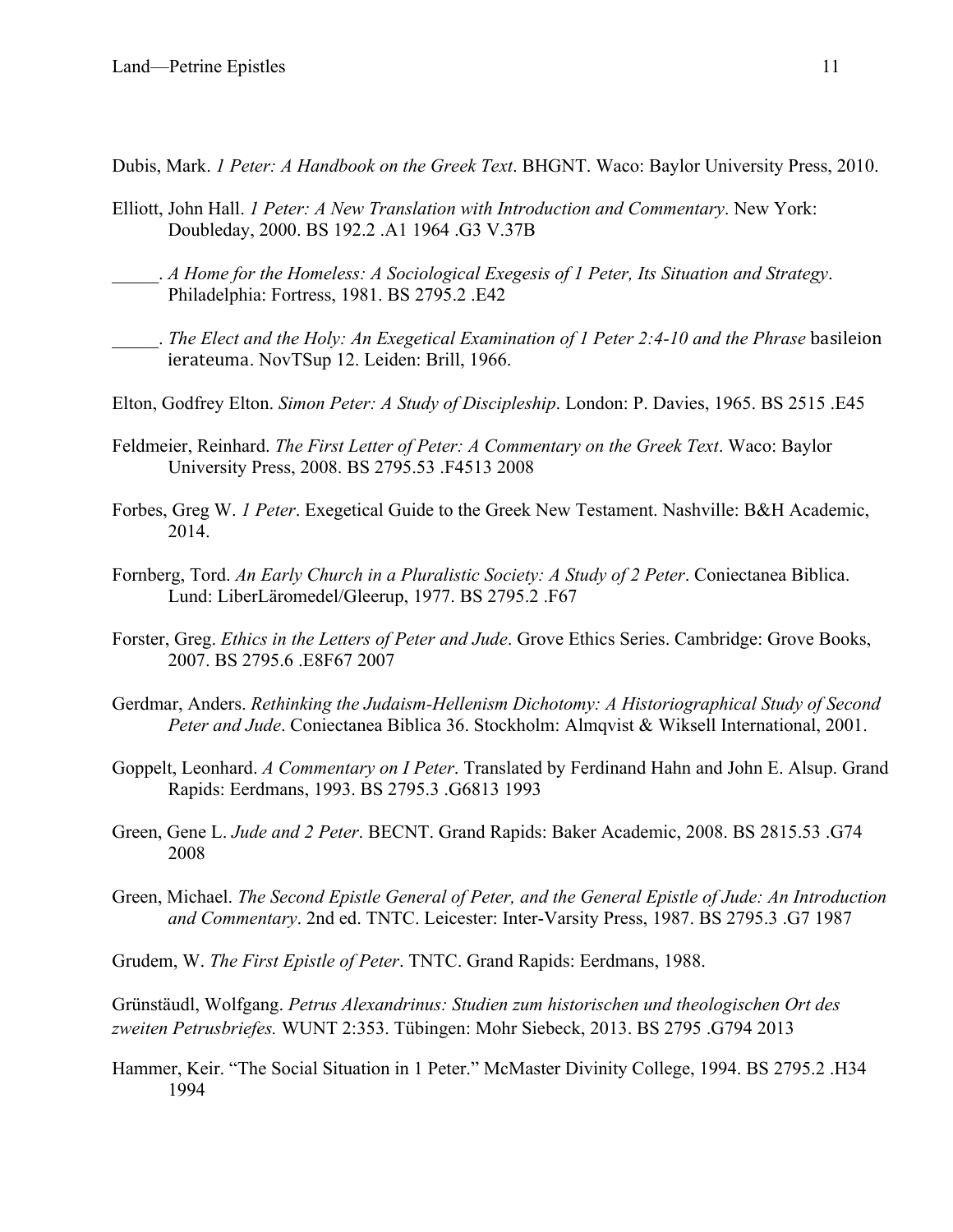Dubis, Mark. *1 Peter: A Handbook on the Greek Text*. BHGNT. Waco: Baylor University Press, 2010.

- Elliott, John Hall. *1 Peter: A New Translation with Introduction and Commentary*. New York: Doubleday, 2000. BS 192.2 .A1 1964 .G3 V.37B
- \_\_\_\_\_. *A Home for the Homeless: A Sociological Exegesis of 1 Peter, Its Situation and Strategy*. Philadelphia: Fortress, 1981. BS 2795.2 .E42
- \_\_\_\_\_. *The Elect and the Holy: An Exegetical Examination of 1 Peter 2:4-10 and the Phrase* basileion ierateuma. NovTSup 12. Leiden: Brill, 1966.
- Elton, Godfrey Elton. *Simon Peter: A Study of Discipleship*. London: P. Davies, 1965. BS 2515 .E45
- Feldmeier, Reinhard. *The First Letter of Peter: A Commentary on the Greek Text*. Waco: Baylor University Press, 2008. BS 2795.53 .F4513 2008
- Forbes, Greg W. *1 Peter*. Exegetical Guide to the Greek New Testament. Nashville: B&H Academic, 2014.
- Fornberg, Tord. *An Early Church in a Pluralistic Society: A Study of 2 Peter*. Coniectanea Biblica. Lund: LiberLäromedel/Gleerup, 1977. BS 2795.2 .F67
- Forster, Greg. *Ethics in the Letters of Peter and Jude*. Grove Ethics Series. Cambridge: Grove Books, 2007. BS 2795.6 .E8F67 2007
- Gerdmar, Anders. *Rethinking the Judaism-Hellenism Dichotomy: A Historiographical Study of Second Peter and Jude*. Coniectanea Biblica 36. Stockholm: Almqvist & Wiksell International, 2001.
- Goppelt, Leonhard. *A Commentary on I Peter*. Translated by Ferdinand Hahn and John E. Alsup. Grand Rapids: Eerdmans, 1993. BS 2795.3 .G6813 1993
- Green, Gene L. *Jude and 2 Peter*. BECNT. Grand Rapids: Baker Academic, 2008. BS 2815.53 .G74 2008
- Green, Michael. *The Second Epistle General of Peter, and the General Epistle of Jude: An Introduction and Commentary*. 2nd ed. TNTC. Leicester: Inter-Varsity Press, 1987. BS 2795.3 .G7 1987

Grudem, W. *The First Epistle of Peter*. TNTC. Grand Rapids: Eerdmans, 1988.

Grünstäudl, Wolfgang. *Petrus Alexandrinus: Studien zum historischen und theologischen Ort des zweiten Petrusbriefes.* WUNT 2:353. Tübingen: Mohr Siebeck, 2013. BS 2795 .G794 2013

Hammer, Keir. "The Social Situation in 1 Peter." McMaster Divinity College, 1994. BS 2795.2 .H34 1994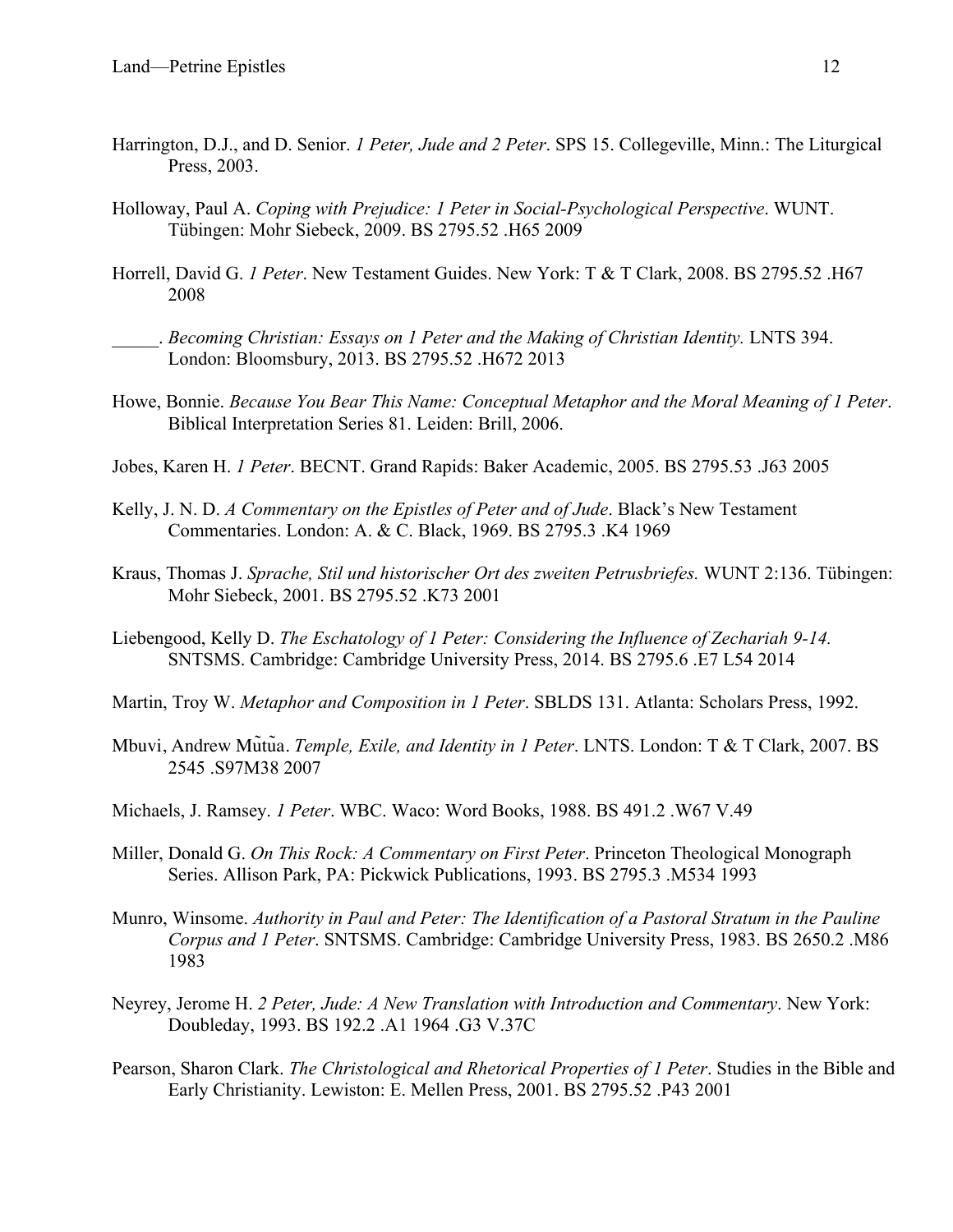- Harrington, D.J., and D. Senior. *1 Peter, Jude and 2 Peter*. SPS 15. Collegeville, Minn.: The Liturgical Press, 2003.
- Holloway, Paul A. *Coping with Prejudice: 1 Peter in Social-Psychological Perspective*. WUNT. Tübingen: Mohr Siebeck, 2009. BS 2795.52 .H65 2009
- Horrell, David G. *1 Peter*. New Testament Guides. New York: T & T Clark, 2008. BS 2795.52 .H67 2008
- \_\_\_\_\_. *Becoming Christian: Essays on 1 Peter and the Making of Christian Identity.* LNTS 394. London: Bloomsbury, 2013. BS 2795.52 .H672 2013
- Howe, Bonnie. *Because You Bear This Name: Conceptual Metaphor and the Moral Meaning of 1 Peter*. Biblical Interpretation Series 81. Leiden: Brill, 2006.
- Jobes, Karen H. *1 Peter*. BECNT. Grand Rapids: Baker Academic, 2005. BS 2795.53 .J63 2005
- Kelly, J. N. D. *A Commentary on the Epistles of Peter and of Jude*. Black's New Testament Commentaries. London: A. & C. Black, 1969. BS 2795.3 .K4 1969
- Kraus, Thomas J. *Sprache, Stil und historischer Ort des zweiten Petrusbriefes.* WUNT 2:136. Tübingen: Mohr Siebeck, 2001. BS 2795.52 .K73 2001
- Liebengood, Kelly D. *The Eschatology of 1 Peter: Considering the Influence of Zechariah 9-14.* SNTSMS. Cambridge: Cambridge University Press, 2014. BS 2795.6 .E7 L54 2014
- Martin, Troy W. *Metaphor and Composition in 1 Peter*. SBLDS 131. Atlanta: Scholars Press, 1992.
- Mbuvi, Andrew Mũtũa. *Temple, Exile, and Identity in 1 Peter*. LNTS. London: T & T Clark, 2007. BS 2545 .S97M38 2007
- Michaels, J. Ramsey. *1 Peter*. WBC. Waco: Word Books, 1988. BS 491.2 .W67 V.49
- Miller, Donald G. *On This Rock: A Commentary on First Peter*. Princeton Theological Monograph Series. Allison Park, PA: Pickwick Publications, 1993. BS 2795.3 .M534 1993
- Munro, Winsome. *Authority in Paul and Peter: The Identification of a Pastoral Stratum in the Pauline Corpus and 1 Peter*. SNTSMS. Cambridge: Cambridge University Press, 1983. BS 2650.2 .M86 1983
- Neyrey, Jerome H. *2 Peter, Jude: A New Translation with Introduction and Commentary*. New York: Doubleday, 1993. BS 192.2 .A1 1964 .G3 V.37C
- Pearson, Sharon Clark. *The Christological and Rhetorical Properties of 1 Peter*. Studies in the Bible and Early Christianity. Lewiston: E. Mellen Press, 2001. BS 2795.52 .P43 2001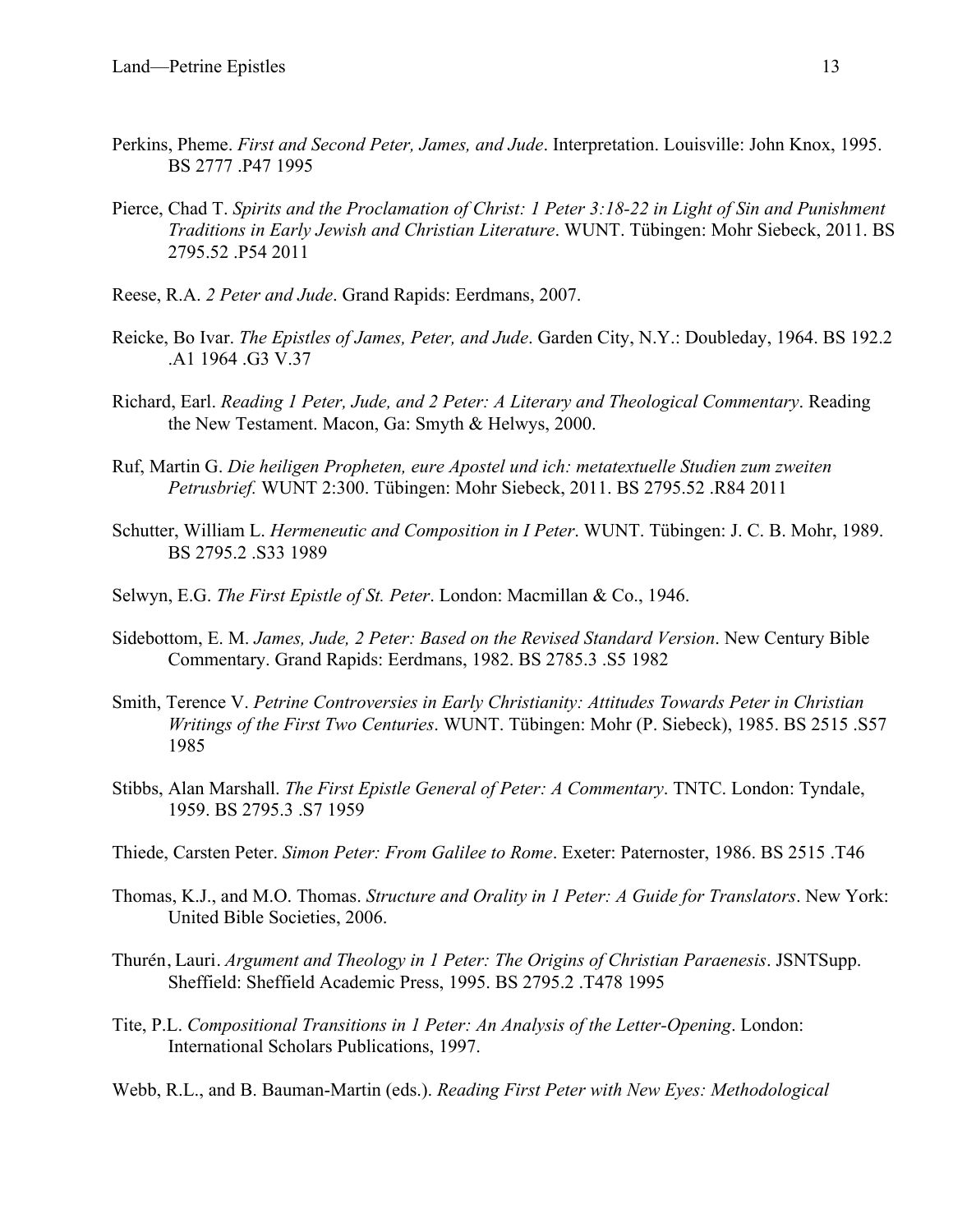- Perkins, Pheme. *First and Second Peter, James, and Jude*. Interpretation. Louisville: John Knox, 1995. BS 2777 .P47 1995
- Pierce, Chad T. *Spirits and the Proclamation of Christ: 1 Peter 3:18-22 in Light of Sin and Punishment Traditions in Early Jewish and Christian Literature*. WUNT. Tübingen: Mohr Siebeck, 2011. BS 2795.52 .P54 2011
- Reese, R.A. *2 Peter and Jude*. Grand Rapids: Eerdmans, 2007.
- Reicke, Bo Ivar. *The Epistles of James, Peter, and Jude*. Garden City, N.Y.: Doubleday, 1964. BS 192.2 .A1 1964 .G3 V.37
- Richard, Earl. *Reading 1 Peter, Jude, and 2 Peter: A Literary and Theological Commentary*. Reading the New Testament. Macon, Ga: Smyth & Helwys, 2000.
- Ruf, Martin G. *Die heiligen Propheten, eure Apostel und ich: metatextuelle Studien zum zweiten Petrusbrief.* WUNT 2:300. Tübingen: Mohr Siebeck, 2011. BS 2795.52 .R84 2011
- Schutter, William L. *Hermeneutic and Composition in I Peter*. WUNT. Tübingen: J. C. B. Mohr, 1989. BS 2795.2 .S33 1989
- Selwyn, E.G. *The First Epistle of St. Peter*. London: Macmillan & Co., 1946.
- Sidebottom, E. M. *James, Jude, 2 Peter: Based on the Revised Standard Version*. New Century Bible Commentary. Grand Rapids: Eerdmans, 1982. BS 2785.3 .S5 1982
- Smith, Terence V. *Petrine Controversies in Early Christianity: Attitudes Towards Peter in Christian Writings of the First Two Centuries*. WUNT. Tübingen: Mohr (P. Siebeck), 1985. BS 2515 .S57 1985
- Stibbs, Alan Marshall. *The First Epistle General of Peter: A Commentary*. TNTC. London: Tyndale, 1959. BS 2795.3 .S7 1959
- Thiede, Carsten Peter. *Simon Peter: From Galilee to Rome*. Exeter: Paternoster, 1986. BS 2515 .T46
- Thomas, K.J., and M.O. Thomas. *Structure and Orality in 1 Peter: A Guide for Translators*. New York: United Bible Societies, 2006.
- Thurén, Lauri. *Argument and Theology in 1 Peter: The Origins of Christian Paraenesis*. JSNTSupp. Sheffield: Sheffield Academic Press, 1995. BS 2795.2 .T478 1995
- Tite, P.L. *Compositional Transitions in 1 Peter: An Analysis of the Letter-Opening*. London: International Scholars Publications, 1997.
- Webb, R.L., and B. Bauman-Martin (eds.). *Reading First Peter with New Eyes: Methodological*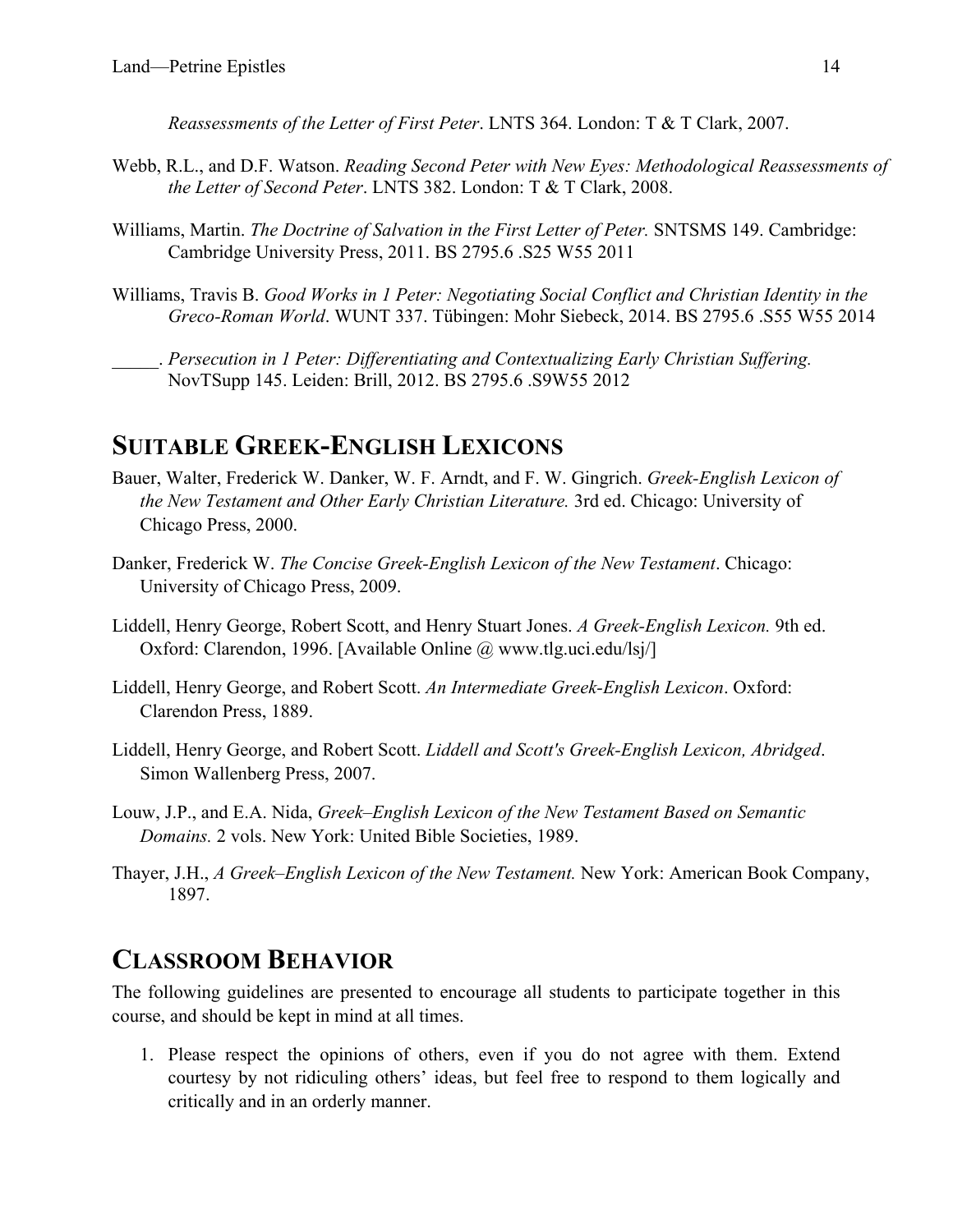*Reassessments of the Letter of First Peter*. LNTS 364. London: T & T Clark, 2007.

- Webb, R.L., and D.F. Watson. *Reading Second Peter with New Eyes: Methodological Reassessments of the Letter of Second Peter*. LNTS 382. London: T & T Clark, 2008.
- Williams, Martin. *The Doctrine of Salvation in the First Letter of Peter.* SNTSMS 149. Cambridge: Cambridge University Press, 2011. BS 2795.6 .S25 W55 2011
- Williams, Travis B. *Good Works in 1 Peter: Negotiating Social Conflict and Christian Identity in the Greco-Roman World*. WUNT 337. Tübingen: Mohr Siebeck, 2014. BS 2795.6 .S55 W55 2014
	- \_\_\_\_\_. *Persecution in 1 Peter: Differentiating and Contextualizing Early Christian Suffering.* NovTSupp 145. Leiden: Brill, 2012. BS 2795.6 .S9W55 2012

## **SUITABLE GREEK-ENGLISH LEXICONS**

- Bauer, Walter, Frederick W. Danker, W. F. Arndt, and F. W. Gingrich. *Greek-English Lexicon of the New Testament and Other Early Christian Literature.* 3rd ed. Chicago: University of Chicago Press, 2000.
- Danker, Frederick W. *The Concise Greek-English Lexicon of the New Testament*. Chicago: University of Chicago Press, 2009.
- Liddell, Henry George, Robert Scott, and Henry Stuart Jones. *A Greek-English Lexicon.* 9th ed. Oxford: Clarendon, 1996. [Available Online @ www.tlg.uci.edu/lsj/]
- Liddell, Henry George, and Robert Scott. *An Intermediate Greek-English Lexicon*. Oxford: Clarendon Press, 1889.
- Liddell, Henry George, and Robert Scott. *Liddell and Scott's Greek-English Lexicon, Abridged*. Simon Wallenberg Press, 2007.
- Louw, J.P., and E.A. Nida, *Greek–English Lexicon of the New Testament Based on Semantic Domains.* 2 vols. New York: United Bible Societies, 1989.
- Thayer, J.H., *A Greek–English Lexicon of the New Testament.* New York: American Book Company, 1897.

# **CLASSROOM BEHAVIOR**

The following guidelines are presented to encourage all students to participate together in this course, and should be kept in mind at all times.

1. Please respect the opinions of others, even if you do not agree with them. Extend courtesy by not ridiculing others' ideas, but feel free to respond to them logically and critically and in an orderly manner.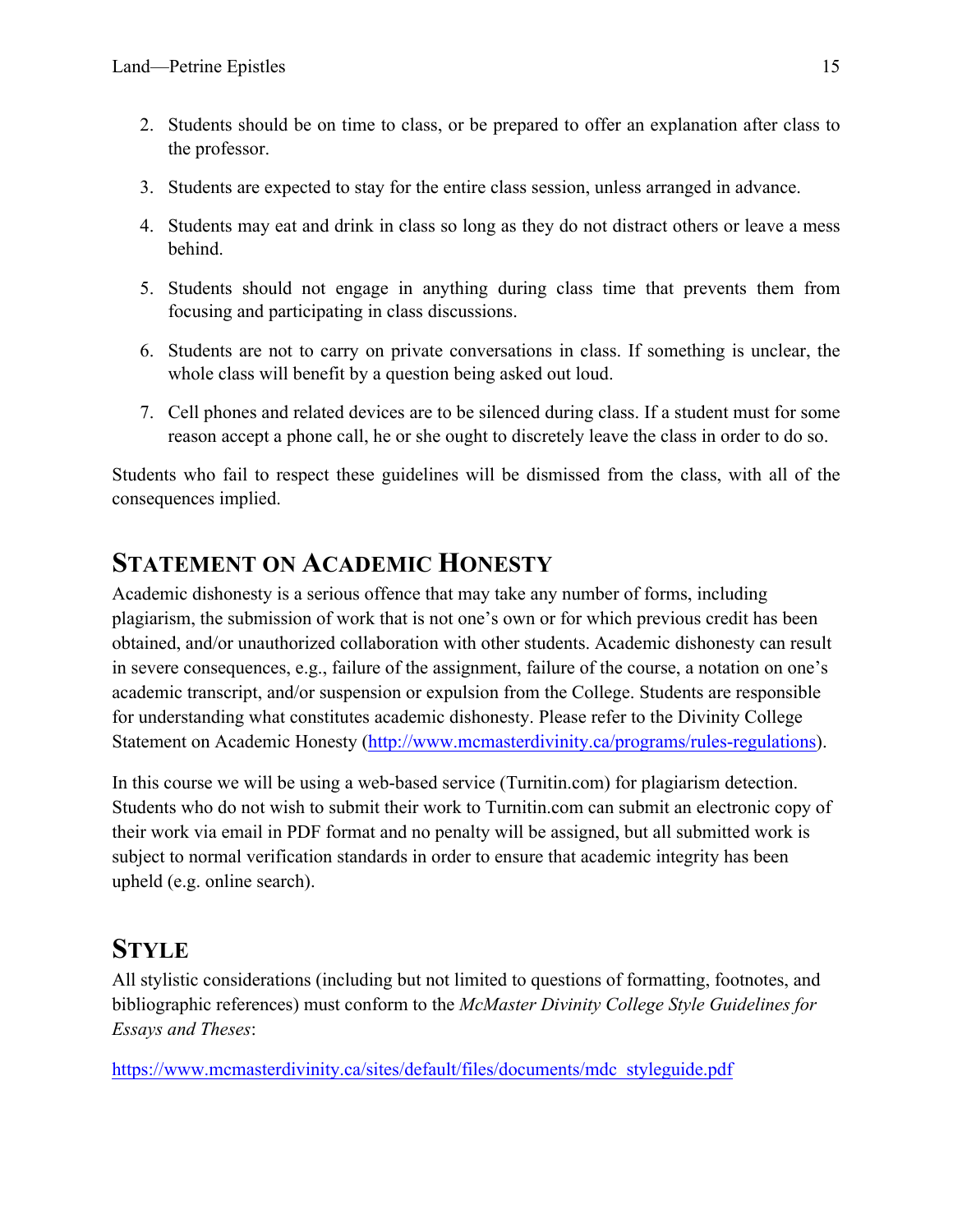- 2. Students should be on time to class, or be prepared to offer an explanation after class to the professor.
- 3. Students are expected to stay for the entire class session, unless arranged in advance.
- 4. Students may eat and drink in class so long as they do not distract others or leave a mess behind.
- 5. Students should not engage in anything during class time that prevents them from focusing and participating in class discussions.
- 6. Students are not to carry on private conversations in class. If something is unclear, the whole class will benefit by a question being asked out loud.
- 7. Cell phones and related devices are to be silenced during class. If a student must for some reason accept a phone call, he or she ought to discretely leave the class in order to do so.

Students who fail to respect these guidelines will be dismissed from the class, with all of the consequences implied.

# **STATEMENT ON ACADEMIC HONESTY**

Academic dishonesty is a serious offence that may take any number of forms, including plagiarism, the submission of work that is not one's own or for which previous credit has been obtained, and/or unauthorized collaboration with other students. Academic dishonesty can result in severe consequences, e.g., failure of the assignment, failure of the course, a notation on one's academic transcript, and/or suspension or expulsion from the College. Students are responsible for understanding what constitutes academic dishonesty. Please refer to the Divinity College Statement on Academic Honesty (http://www.mcmasterdivinity.ca/programs/rules-regulations).

In this course we will be using a web-based service (Turnitin.com) for plagiarism detection. Students who do not wish to submit their work to Turnitin.com can submit an electronic copy of their work via email in PDF format and no penalty will be assigned, but all submitted work is subject to normal verification standards in order to ensure that academic integrity has been upheld (e.g. online search).

# **STYLE**

All stylistic considerations (including but not limited to questions of formatting, footnotes, and bibliographic references) must conform to the *McMaster Divinity College Style Guidelines for Essays and Theses*:

https://www.mcmasterdivinity.ca/sites/default/files/documents/mdc\_styleguide.pdf